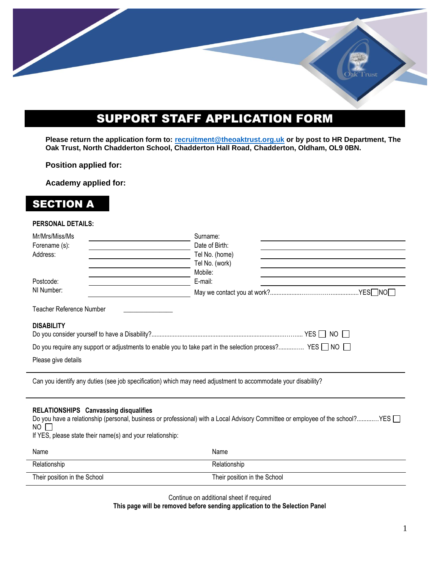# SUPPORT STAFF APPLICATION FORM

**Please return the application form to: [recruitment@theoaktrust.org.uk](mailto:recruitment@theoaktrust.org.uk) or by post to HR Department, The Oak Trust, North Chadderton School, Chadderton Hall Road, Chadderton, Oldham, OL9 0BN.**

#### **Position applied for:**

**Academy applied for:**

## SECTION A

#### **PERSONAL DETAILS:**

| Mr/Mrs/Miss/Ms<br>Forename (s):<br>Address:                                                                                                                                                                                                 | Surname:<br>Date of Birth:<br>Tel No. (home)<br>Tel No. (work) |  |
|---------------------------------------------------------------------------------------------------------------------------------------------------------------------------------------------------------------------------------------------|----------------------------------------------------------------|--|
| Postcode:<br>NI Number:                                                                                                                                                                                                                     | Mobile:<br>E-mail:                                             |  |
| Teacher Reference Number                                                                                                                                                                                                                    |                                                                |  |
| <b>DISABILITY</b><br>Do you require any support or adjustments to enable you to take part in the selection process? YES □ NO □<br>Please give details                                                                                       |                                                                |  |
| Can you identify any duties (see job specification) which may need adjustment to accommodate your disability?                                                                                                                               |                                                                |  |
| RELATIONSHIPS Canvassing disqualifies<br>Do you have a relationship (personal, business or professional) with a Local Advisory Committee or employee of the school?YES<br>NO I<br>If YES, please state their name(s) and your relationship: |                                                                |  |
| Name                                                                                                                                                                                                                                        | Name                                                           |  |

Relationship Relationship Their position in the School Their position in the School Their position in the School

Continue on additional sheet if required

**This page will be removed before sending application to the Selection Panel**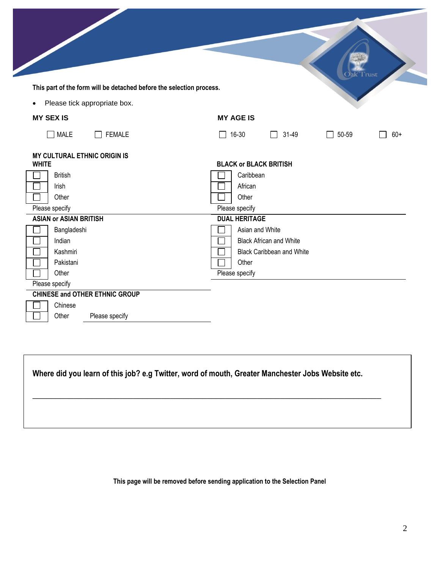|                                                                      | `rust                                                                  |
|----------------------------------------------------------------------|------------------------------------------------------------------------|
| This part of the form will be detached before the selection process. |                                                                        |
| Please tick appropriate box.<br>$\bullet$                            |                                                                        |
| <b>MY SEX IS</b>                                                     | <b>MY AGE IS</b>                                                       |
| $\Box$ MALE<br><b>FEMALE</b>                                         | 16-30<br>31-49<br>50-59<br>$\Box$<br>$60+$<br>$\Box$<br>$\blacksquare$ |
| <b>MY CULTURAL ETHNIC ORIGIN IS</b><br><b>WHITE</b>                  | <b>BLACK or BLACK BRITISH</b>                                          |
| <b>British</b>                                                       | Caribbean                                                              |
| Irish                                                                | African                                                                |
| Other                                                                | Other                                                                  |
| Please specify<br><b>ASIAN or ASIAN BRITISH</b>                      | Please specify<br><b>DUAL HERITAGE</b>                                 |
| Bangladeshi                                                          | Asian and White                                                        |
| Indian<br>$\sim$                                                     | <b>Black African and White</b><br>$\blacksquare$                       |
| Kashmiri                                                             | <b>Black Caribbean and White</b>                                       |
| Pakistani                                                            | Other                                                                  |
| Other                                                                | Please specify                                                         |
| Please specify                                                       |                                                                        |
| <b>CHINESE and OTHER ETHNIC GROUP</b>                                |                                                                        |
| Chinese<br>Other<br>Please specify                                   |                                                                        |

**Where did you learn of this job? e.g Twitter, word of mouth, Greater Manchester Jobs Website etc.** 

\_\_\_\_\_\_\_\_\_\_\_\_\_\_\_\_\_\_\_\_\_\_\_\_\_\_\_\_\_\_\_\_\_\_\_\_\_\_\_\_\_\_\_\_\_\_\_\_\_\_\_\_\_\_\_\_\_\_\_\_\_\_\_\_\_\_\_\_\_\_\_\_\_\_\_\_

**This page will be removed before sending application to the Selection Panel**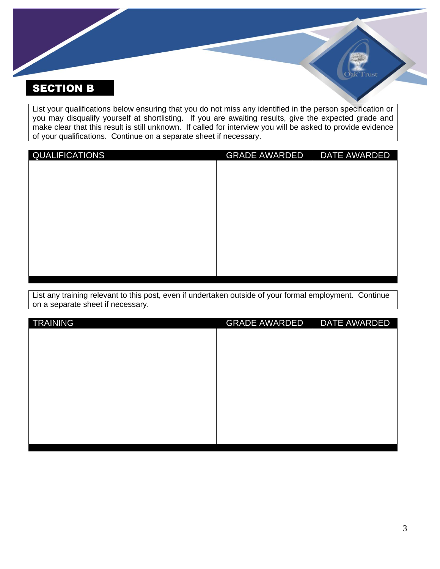## SECTION B

List your qualifications below ensuring that you do not miss any identified in the person specification or you may disqualify yourself at shortlisting. If you are awaiting results, give the expected grade and make clear that this result is still unknown. If called for interview you will be asked to provide evidence of your qualifications. Continue on a separate sheet if necessary.

| QUALIFICATIONS | <b>GRADE AWARDED</b> | <b>DATE AWARDED</b> |
|----------------|----------------------|---------------------|
|                |                      |                     |
|                |                      |                     |
|                |                      |                     |
|                |                      |                     |
|                |                      |                     |
|                |                      |                     |
|                |                      |                     |
|                |                      |                     |
|                |                      |                     |
|                |                      |                     |

List any training relevant to this post, even if undertaken outside of your formal employment. Continue on a separate sheet if necessary.

| <b>TRAINING</b> | <b>GRADE AWARDED</b> | DATE AWARDED |
|-----------------|----------------------|--------------|
|                 |                      |              |
|                 |                      |              |
|                 |                      |              |
|                 |                      |              |
|                 |                      |              |
|                 |                      |              |
|                 |                      |              |
|                 |                      |              |
|                 |                      |              |
|                 |                      |              |
|                 |                      |              |

ùst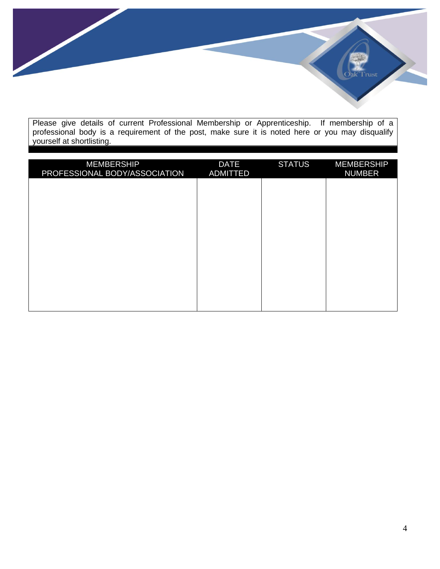rust<sup>.</sup>

Please give details of current Professional Membership or Apprenticeship. If membership of a professional body is a requirement of the post, make sure it is noted here or you may disqualify yourself at shortlisting.

| <b>MEMBERSHIP</b><br>PROFESSIONAL BODY/ASSOCIATION | <b>DATE</b><br>ADMITTED | <b>STATUS</b> | <b>MEMBERSHIP</b><br><b>NUMBER</b> |
|----------------------------------------------------|-------------------------|---------------|------------------------------------|
|                                                    |                         |               |                                    |
|                                                    |                         |               |                                    |
|                                                    |                         |               |                                    |
|                                                    |                         |               |                                    |
|                                                    |                         |               |                                    |
|                                                    |                         |               |                                    |
|                                                    |                         |               |                                    |
|                                                    |                         |               |                                    |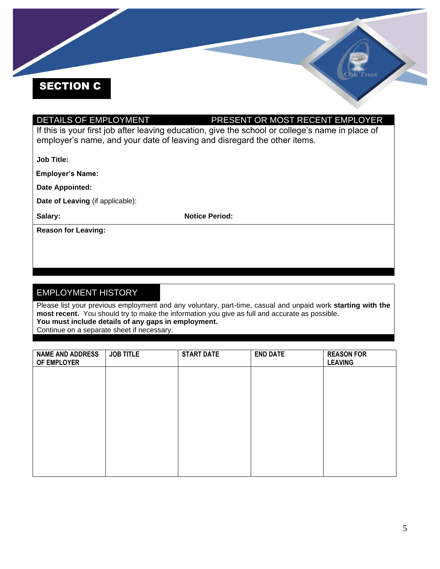# SECTION C

## DETAILS OF EMPLOYMENT PRESENT OR MOST RECENT EMPLOYER

If this is your first job after leaving education, give the school or college's name in place of employer's name, and your date of leaving and disregard the other items.

**Job Title:**

**Employer's Name:**

**Date Appointed:**

**Date of Leaving** (if applicable):

Salary: **Notice Period: Notice Period:** 

**Reason for Leaving:**

### EMPLOYMENT HISTORY

Please list your previous employment and any voluntary, part-time, casual and unpaid work **starting with the most recent.** You should try to make the information you give as full and accurate as possible. **You must include details of any gaps in employment.**

Continue on a separate sheet if necessary.

| <b>NAME AND ADDRESS</b><br>OF EMPLOYER | <b>JOB TITLE</b> | <b>START DATE</b> | <b>END DATE</b> | <b>REASON FOR</b><br><b>LEAVING</b> |
|----------------------------------------|------------------|-------------------|-----------------|-------------------------------------|
|                                        |                  |                   |                 |                                     |
|                                        |                  |                   |                 |                                     |
|                                        |                  |                   |                 |                                     |
|                                        |                  |                   |                 |                                     |
|                                        |                  |                   |                 |                                     |
|                                        |                  |                   |                 |                                     |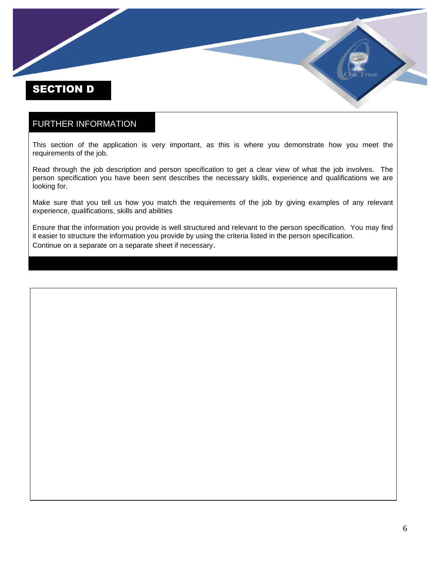## SECTION D

#### FURTHER INFORMATION

This section of the application is very important, as this is where you demonstrate how you meet the requirements of the job.

Read through the job description and person specification to get a clear view of what the job involves. The person specification you have been sent describes the necessary skills, experience and qualifications we are looking for.

Make sure that you tell us how you match the requirements of the job by giving examples of any relevant experience, qualifications, skills and abilities

Ensure that the information you provide is well structured and relevant to the person specification. You may find it easier to structure the information you provide by using the criteria listed in the person specification. Continue on a separate on a separate sheet if necessary.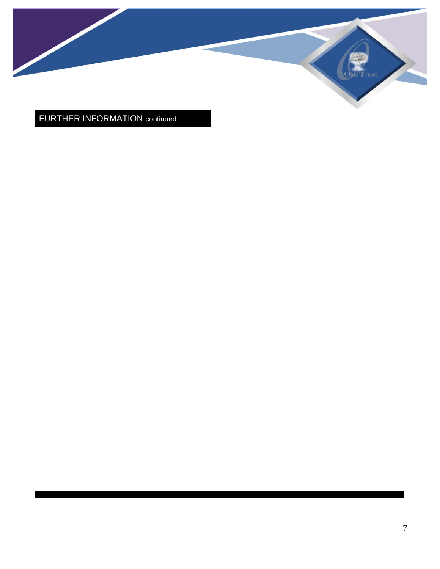

## FURTHER INFORMATION continued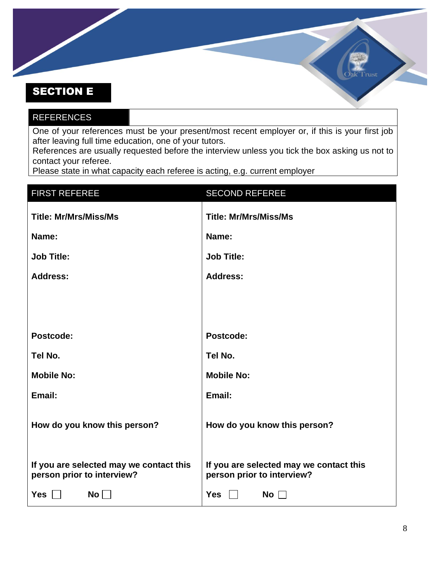## SECTION E

## REFERENCES One of your references must be your present/most recent employer or, if this is your first job

after leaving full time education, one of your tutors. References are usually requested before the interview unless you tick the box asking us not to contact your referee.

Please state in what capacity each referee is acting, e.g. current employer

| <b>FIRST REFEREE</b>                                                  | <b>SECOND REFEREE</b>                                                 |
|-----------------------------------------------------------------------|-----------------------------------------------------------------------|
| <b>Title: Mr/Mrs/Miss/Ms</b>                                          | <b>Title: Mr/Mrs/Miss/Ms</b>                                          |
| Name:                                                                 | Name:                                                                 |
| <b>Job Title:</b>                                                     | <b>Job Title:</b>                                                     |
| <b>Address:</b>                                                       | <b>Address:</b>                                                       |
|                                                                       |                                                                       |
|                                                                       |                                                                       |
| Postcode:                                                             | Postcode:                                                             |
| Tel No.                                                               | Tel No.                                                               |
| <b>Mobile No:</b>                                                     | <b>Mobile No:</b>                                                     |
| Email:                                                                | Email:                                                                |
| How do you know this person?                                          | How do you know this person?                                          |
| If you are selected may we contact this<br>person prior to interview? | If you are selected may we contact this<br>person prior to interview? |
| Yes $\Box$<br>No                                                      | Yes $\Box$<br>No $\square$                                            |